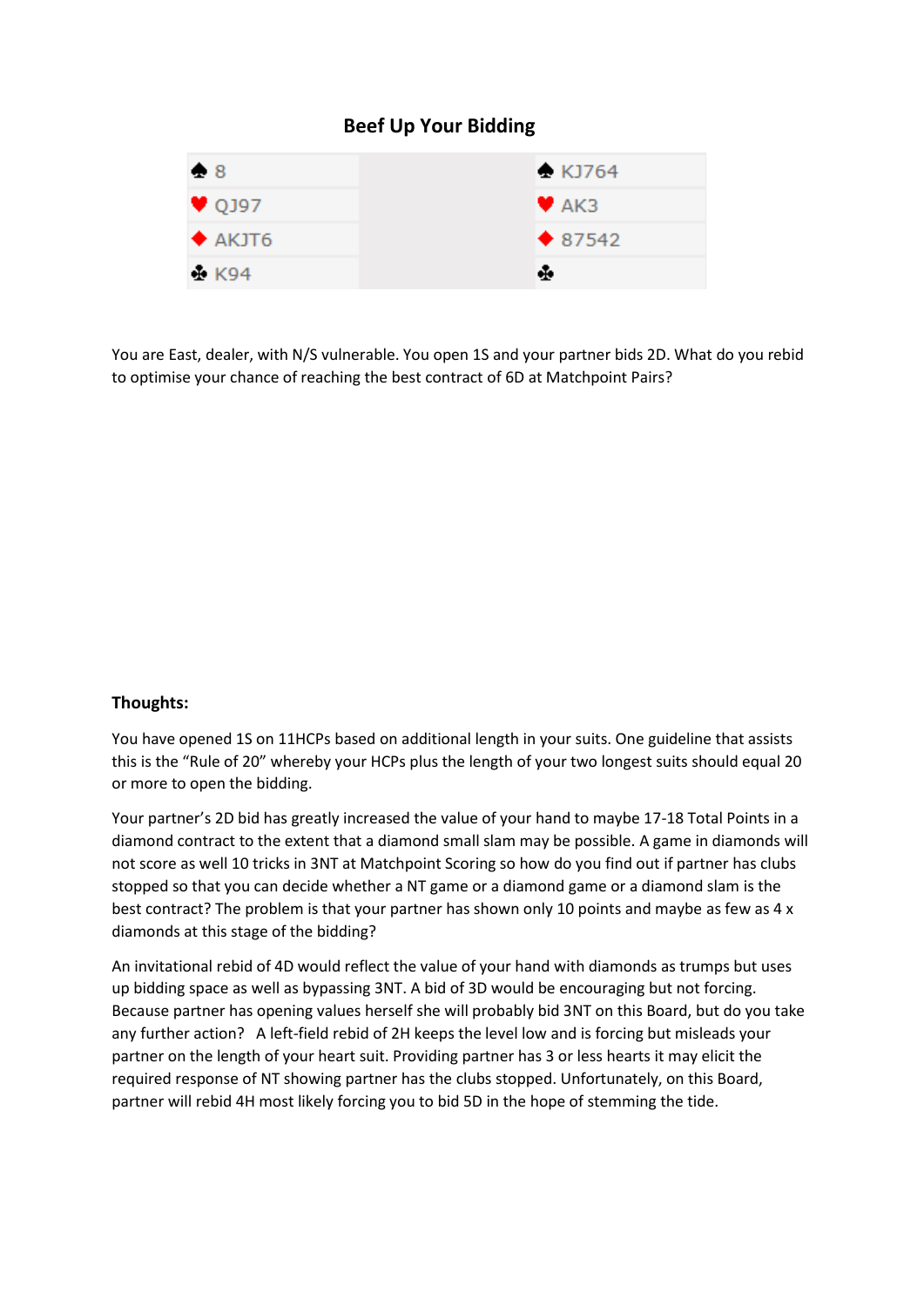## **Beef Up Your Bidding**



You are East, dealer, with N/S vulnerable. You open 1S and your partner bids 2D. What do you rebid to optimise your chance of reaching the best contract of 6D at Matchpoint Pairs?

## **Thoughts:**

You have opened 1S on 11HCPs based on additional length in your suits. One guideline that assists this is the "Rule of 20" whereby your HCPs plus the length of your two longest suits should equal 20 or more to open the bidding.

Your partner's 2D bid has greatly increased the value of your hand to maybe 17-18 Total Points in a diamond contract to the extent that a diamond small slam may be possible. A game in diamonds will not score as well 10 tricks in 3NT at Matchpoint Scoring so how do you find out if partner has clubs stopped so that you can decide whether a NT game or a diamond game or a diamond slam is the best contract? The problem is that your partner has shown only 10 points and maybe as few as 4 x diamonds at this stage of the bidding?

An invitational rebid of 4D would reflect the value of your hand with diamonds as trumps but uses up bidding space as well as bypassing 3NT. A bid of 3D would be encouraging but not forcing. Because partner has opening values herself she will probably bid 3NT on this Board, but do you take any further action? A left-field rebid of 2H keeps the level low and is forcing but misleads your partner on the length of your heart suit. Providing partner has 3 or less hearts it may elicit the required response of NT showing partner has the clubs stopped. Unfortunately, on this Board, partner will rebid 4H most likely forcing you to bid 5D in the hope of stemming the tide.